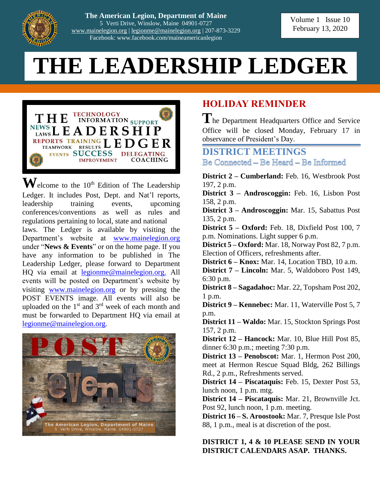

**The American Legion, Department of Maine** 5 Verti Drive, Winslow, Maine 04901-0727 [www.mainelegion.org](http://www.mainelegion.org/) | [legionme@mainelegion.org](mailto:legionme@mainelegion.org) | 207-873-3229 Facebook: www.facebook.com/maineamericanlegion

Volume 1 Issue 10 February 13, 2020

# **THE LEADERSHIP LEDGER**



 $\mathbf{W}_{\text{elcome}}$  to the 10<sup>th</sup> Edition of The Leadership Ledger. It includes Post, Dept. and Nat'l reports, leadership training events, upcoming conferences/conventions as well as rules and regulations pertaining to local, state and national laws. The Ledger is available by visiting the Department's website at [www.mainelegion.org](http://www.mainelegion.org/) under "**News & Events**" or on the home page. If you have any information to be published in The Leadership Ledger, please forward to Department HQ via email at [legionme@mainelegion.org.](mailto:legionme@mainelegion.org) All events will be posted on Department's website by visiting [www.mainelegion.org](http://www.mainelegion.org/) or by pressing the POST EVENTS image. All events will also be uploaded on the  $1<sup>st</sup>$  and  $3<sup>rd</sup>$  week of each month and must be forwarded to Department HQ via email at [legionme@mainelegion.org.](mailto:legionme@mainelegion.org)



# **HOLIDAY REMINDER**

The Department Headquarters Office and Service Office will be closed Monday, February 17 in observance of President's Day.

**DISTRICT MEETINGS** Be Comnected – Be Heard – Be Informed

**District 2 – Cumberland:** Feb. 16, Westbrook Post 197, 2 p.m.

**District 3 – Androscoggin:** Feb. 16, Lisbon Post 158, 2 p.m.

**District 3 – Androscoggin:** Mar. 15, Sabattus Post 135, 2 p.m.

**District 5 – Oxford:** Feb. 18, Dixfield Post 100, 7 p.m. Nominations. Light supper 6 p.m.

**District 5 – Oxford:** Mar. 18, Norway Post 82, 7 p.m. Election of Officers, refreshments after.

**District 6 – Knox:** Mar. 14, Location TBD, 10 a.m.

**District 7 – Lincoln:** Mar. 5, Waldoboro Post 149, 6:30 p.m.

**District 8 – Sagadahoc:** Mar. 22, Topsham Post 202, 1 p.m.

**District 9 – Kennebec:** Mar. 11, Waterville Post 5, 7 p.m.

**District 11 – Waldo:** Mar. 15, Stockton Springs Post 157, 2 p.m.

**District 12 – Hancock:** Mar. 10, Blue Hill Post 85, dinner 6:30 p.m.; meeting 7:30 p.m.

**District 13 – Penobscot:** Mar. 1, Hermon Post 200, meet at Hermon Rescue Squad Bldg, 262 Billings Rd., 2 p.m., Refreshments served.

**District 14 – Piscataquis:** Feb. 15, Dexter Post 53, lunch noon, 1 p.m. mtg.

**District 14 – Piscataquis:** Mar. 21, Brownville Jct. Post 92, lunch noon, 1 p.m. meeting.

**District 16 – S. Aroostook:** Mar. 7, Presque Isle Post 88, 1 p.m., meal is at discretion of the post.

**DISTRICT 1, 4 & 10 PLEASE SEND IN YOUR DISTRICT CALENDARS ASAP. THANKS.**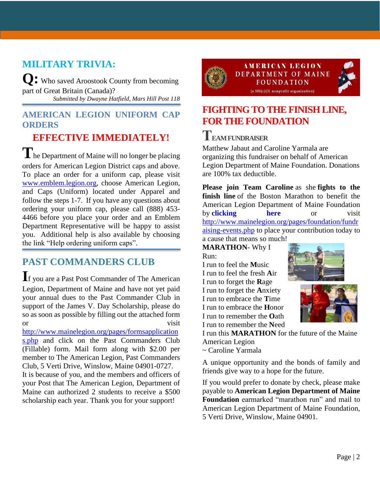# **MILITARY TRIVIA:**

**Q:** Who saved Aroostook County from becoming part of Great Britain (Canada)? *Submitted by Dwayne Hatfield, Mars Hill Post 118*

#### **AMERICAN LEGION UNIFORM CAP ORDERS**

# **EFFECTIVE IMMEDIATELY!**

The Department of Maine will no longer be placing orders for American Legion District caps and above. To place an order for a uniform cap, please visit [www.emblem.legion.org,](http://www.emblem.legion.org/) choose American Legion, and Caps (Uniform) located under Apparel and follow the steps 1-7. If you have any questions about ordering your uniform cap, please call (888) 453- 4466 before you place your order and an Emblem Department Representative will be happy to assist you. Additional help is also available by choosing the link "Help ordering uniform caps".

# **PAST COMMANDERS CLUB**

**I**f you are a Past Post Commander of The American Legion, Department of Maine and have not yet paid your annual dues to the Past Commander Club in support of the James V. Day Scholarship, please do so as soon as possible by filling out the attached form or visit

[http://www.mainelegion.org/pages/formsapplication](http://www.mainelegion.org/pages/formsapplications.php) [s.php](http://www.mainelegion.org/pages/formsapplications.php) and click on the Past Commanders Club (Fillable) form. Mail form along with \$2.00 per member to The American Legion, Past Commanders Club, 5 Verti Drive, Winslow, Maine 04901-0727.

It is because of you, and the members and officers of your Post that The American Legion, Department of Maine can authorized 2 students to receive a \$500 scholarship each year. Thank you for your support!





# **[FIGHTING TO THE FINISH LINE,](https://www.gofundme.com/f/5hx779-a-cause-i-care-about-needs-help?utm_source=customer&utm_medium=copy_link&utm_campaign=p_cf+share-flow-1)  [FOR THE FOUNDATION](https://www.gofundme.com/f/5hx779-a-cause-i-care-about-needs-help?utm_source=customer&utm_medium=copy_link&utm_campaign=p_cf+share-flow-1)**

# **TEAM FUNDRAISER**

Matthew Jabaut and Caroline Yarmala are organizing this fundraiser on behalf of American Legion Department of Maine Foundation. Donations are 100% tax deductible.

**Please join Team Caroline** as she **fights to the finish line** of the Boston Marathon to benefit the American Legion Department of Maine Foundation by **[clicking here](https://www.gofundme.com/f/5hx779-a-cause-i-care-about-needs-help?utm_source=customer&utm_medium=copy_link&utm_campaign=p_cf+share-flow-1)** or visit [http://www.mainelegion.org/pages/foundation/fundr](http://www.mainelegion.org/pages/foundation/fundraising-events.php) [aising-events.php](http://www.mainelegion.org/pages/foundation/fundraising-events.php) to place your contribution today to a cause that means so much!

**MARATHON**- Why I Run:

I run to feel the **M**usic I run to feel the fresh **A**ir I run to forget the **R**age I run to forget the **A**nxiety I run to embrace the **T**ime I run to embrace the **H**onor I run to remember the **O**ath I run to remember the **N**eed





I run this **MARATHON** for the future of the Maine American Legion

~ Caroline Yarmala

A unique opportunity and the bonds of family and friends give way to a hope for the future.

If you would prefer to donate by check, please make payable to **American Legion Department of Maine Foundation** earmarked "marathon run" and mail to American Legion Department of Maine Foundation, 5 Verti Drive, Winslow, Maine 04901.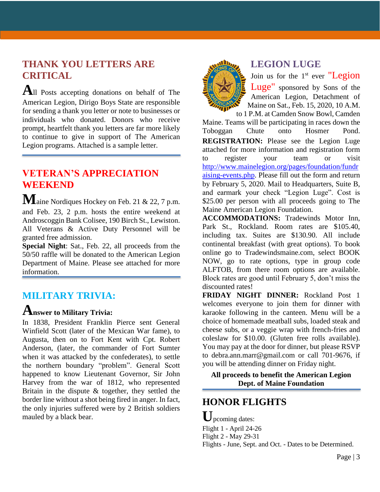#### **THANK YOU LETTERS ARE CRITICAL**

**A**ll Posts accepting donations on behalf of The American Legion, Dirigo Boys State are responsible for sending a thank you letter or note to businesses or individuals who donated. Donors who receive prompt, heartfelt thank you letters are far more likely to continue to give in support of The American Legion programs. Attached is a sample letter.

## **VETERAN'S APPRECIATION WEEKEND**

**M**aine Nordiques Hockey on Feb. 21 & 22, 7 p.m. and Feb. 23, 2 p.m. hosts the entire weekend at Androscoggin Bank Colisee, 190 Birch St., Lewiston. All Veterans & Active Duty Personnel will be granted free admission.

**Special Night**: Sat., Feb. 22, all proceeds from the 50/50 raffle will be donated to the American Legion Department of Maine. Please see attached for more information.

#### **MILITARY TRIVIA:**

# **Answer to Military Trivia:**

In 1838, President Franklin Pierce sent General Winfield Scott (later of the Mexican War fame), to Augusta, then on to Fort Kent with Cpt. Robert Anderson, (later, the commander of Fort Sumter when it was attacked by the confederates), to settle the northern boundary "problem". General Scott happened to know Lieutenant Governor, Sir John Harvey from the war of 1812, who represented Britain in the dispute & together, they settled the border line without a shot being fired in anger. In fact, the only injuries suffered were by 2 British soldiers mauled by a black bear.



#### **LEGION LUGE**

Join us for the  $1<sup>st</sup>$  ever "Legion" Luge" sponsored by Sons of the American Legion, Detachment of Maine on Sat., Feb. 15, 2020, 10 A.M.

to 1 P.M. at Camden Snow Bowl, Camden Maine. Teams will be participating in races down the Toboggan Chute onto Hosmer Pond. **REGISTRATION:** Please see the Legion Luge attached for more information and registration form to register your team or visit [http://www.mainelegion.org/pages/foundation/fundr](http://www.mainelegion.org/pages/foundation/fundraising-events.php) [aising-events.php.](http://www.mainelegion.org/pages/foundation/fundraising-events.php) Please fill out the form and return by February 5, 2020. Mail to Headquarters, Suite B, and earmark your check "Legion Luge". Cost is \$25.00 per person with all proceeds going to The Maine American Legion Foundation.

**ACCOMMODATIONS:** Tradewinds Motor Inn, Park St., Rockland. Room rates are \$105.40, including tax. Suites are \$130.90. All include continental breakfast (with great options). To book online go to Tradewindsmaine.com, select BOOK NOW, go to rate options, type in group code ALFTOB, from there room options are available. Block rates are good until February 5, don't miss the discounted rates!

**FRIDAY NIGHT DINNER:** Rockland Post 1 welcomes everyone to join them for dinner with karaoke following in the canteen. Menu will be a choice of homemade meatball subs, loaded steak and cheese subs, or a veggie wrap with french-fries and coleslaw for \$10.00. (Gluten free rolls available). You may pay at the door for dinner, but please RSVP to debra.ann.marr@gmail.com or call 701-9676, if you will be attending dinner on Friday night.

**All proceeds to benefit the American Legion Dept. of Maine Foundation**

#### **HONOR FLIGHTS**

**U**pcoming dates: Flight 1 - April 24-26 Flight 2 - May 29-31 Flights - June, Sept. and Oct. - Dates to be Determined.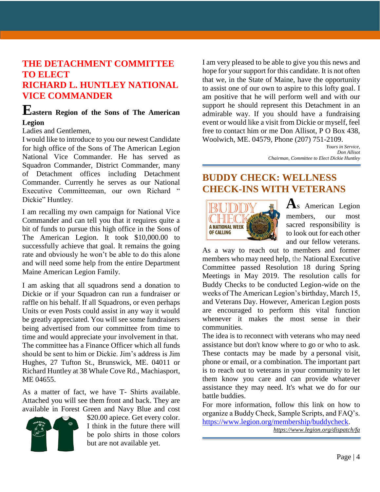#### **THE DETACHMENT COMMITTEE TO ELECT RICHARD L. HUNTLEY NATIONAL VICE COMMANDER**

#### **Eastern Region of the Sons of The American Legion**

#### Ladies and Gentlemen,

I would like to introduce to you our newest Candidate for high office of the Sons of The American Legion National Vice Commander. He has served as Squadron Commander, District Commander, many of Detachment offices including Detachment Commander. Currently he serves as our National Executive Committeeman, our own Richard " Dickie" Huntley.

I am recalling my own campaign for National Vice Commander and can tell you that it requires quite a bit of funds to pursue this high office in the Sons of The American Legion. It took \$10,000.00 to successfully achieve that goal. It remains the going rate and obviously he won't be able to do this alone and will need some help from the entire Department Maine American Legion Family.

I am asking that all squadrons send a donation to Dickie or if your Squadron can run a fundraiser or raffle on his behalf. If all Squadrons, or even perhaps Units or even Posts could assist in any way it would be greatly appreciated. You will see some fundraisers being advertised from our committee from time to time and would appreciate your involvement in that. The committee has a Finance Officer which all funds should be sent to him or Dickie. Jim's address is Jim Hughes, 27 Tufton St., Brunswick, ME. 04011 or Richard Huntley at 38 Whale Cove Rd., Machiasport, ME 04655.

As a matter of fact, we have T- Shirts available. Attached you will see them front and back. They are available in Forest Green and Navy Blue and cost



\$20.00 apiece. Get every color. I think in the future there will be polo shirts in those colors but are not available yet.

I am very pleased to be able to give you this news and hope for your support for this candidate. It is not often that we, in the State of Maine, have the opportunity to assist one of our own to aspire to this lofty goal. I am positive that he will perform well and with our support he should represent this Detachment in an admirable way. If you should have a fundraising event or would like a visit from Dickie or myself, feel free to contact him or me Don Allisot, P O Box 438, Woolwich, ME. 04579, Phone (207) 751-2109.

*Yours in Service, Don Allisot Chairman, Committee to Elect Dickie Huntley*

#### **BUDDY CHECK: WELLNESS CHECK-INS WITH VETERANS**



**A**s American Legion members, our most sacred responsibility is to look out for each other and our fellow veterans.

As a way to reach out to members and former members who may need help, the National Executive Committee passed Resolution 18 during Spring Meetings in May 2019. The resolution calls for Buddy Checks to be conducted Legion-wide on the weeks of The American Legion's birthday, March 15, and Veterans Day. However, American Legion posts are encouraged to perform this vital function whenever it makes the most sense in their communities.

The idea is to reconnect with veterans who may need assistance but don't know where to go or who to ask. These contacts may be made by a personal visit, phone or email, or a combination. The important part is to reach out to veterans in your community to let them know you care and can provide whatever assistance they may need. It's what we do for our battle buddies.

For more information, follow this link on how to organize a Buddy Check, Sample Scripts, and FAQ's. [https://www.legion.org/membership/buddycheck.](https://www.legion.org/membership/buddycheck)

*[https://www.legion.org/dispatch/](https://www.legion.org/dispatch)fa*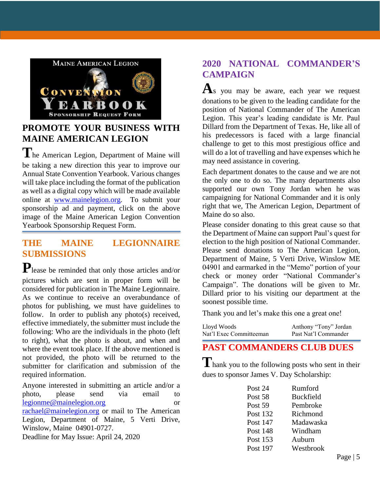

# **PROMOTE YOUR BUSINESS WITH MAINE AMERICAN LEGION**

**T**he American Legion, Department of Maine will be taking a new direction this year to improve our Annual State Convention Yearbook. Various changes will take place including the format of the publication as well as a digital copy which will be made available online at [www.mainelegion.org.](http://www.mainelegion.org/) To submit your sponsorship ad and payment, click on the above image of the Maine American Legion Convention Yearbook Sponsorship Request Form.

#### **THE MAINE LEGIONNAIRE SUBMISSIONS**

**P**lease be reminded that only those articles and/or pictures which are sent in proper form will be considered for publication in The Maine Legionnaire. As we continue to receive an overabundance of photos for publishing, we must have guidelines to follow. In order to publish any photo(s) received, effective immediately, the submitter must include the following: Who are the individuals in the photo (left to right), what the photo is about, and when and where the event took place. If the above mentioned is not provided, the photo will be returned to the submitter for clarification and submission of the required information.

Anyone interested in submitting an article and/or a photo, please send via email to [legionme@mainelegion.org](mailto:legionme@mainelegion.org) or [rachael@mainelegion.org](mailto:rachael@mainelegion.org) or mail to The American Legion, Department of Maine, 5 Verti Drive, Winslow, Maine 04901-0727. Deadline for May Issue: April 24, 2020

#### **2020 NATIONAL COMMANDER'S CAMPAIGN**

A<sub>s</sub> you may be aware, each year we request donations to be given to the leading candidate for the position of National Commander of The American Legion. This year's leading candidate is Mr. Paul Dillard from the Department of Texas. He, like all of his predecessors is faced with a large financial challenge to get to this most prestigious office and will do a lot of travelling and have expenses which he may need assistance in covering.

Each department donates to the cause and we are not the only one to do so. The many departments also supported our own Tony Jordan when he was campaigning for National Commander and it is only right that we, The American Legion, Department of Maine do so also.

Please consider donating to this great cause so that the Department of Maine can support Paul's quest for election to the high position of National Commander. Please send donations to The American Legion, Department of Maine, 5 Verti Drive, Winslow ME 04901 and earmarked in the "Memo" portion of your check or money order "National Commander's Campaign". The donations will be given to Mr. Dillard prior to his visiting our department at the soonest possible time.

Thank you and let's make this one a great one!

| Lloyd Woods             | Anthony "Tony" Jordan |
|-------------------------|-----------------------|
| Nat'l Exec Committeeman | Past Nat'l Commander  |

# **PAST COMMANDERS CLUB DUES**

**T**hank you to the following posts who sent in their dues to sponsor James V. Day Scholarship:

| Post 24         | Rumford          |
|-----------------|------------------|
| Post 58         | <b>Buckfield</b> |
| Post 59         | Pembroke         |
| Post 132        | Richmond         |
| Post 147        | Madawaska        |
| <b>Post 148</b> | Windham          |
| Post 153        | Auburn           |
| Post 197        | Westbrook        |